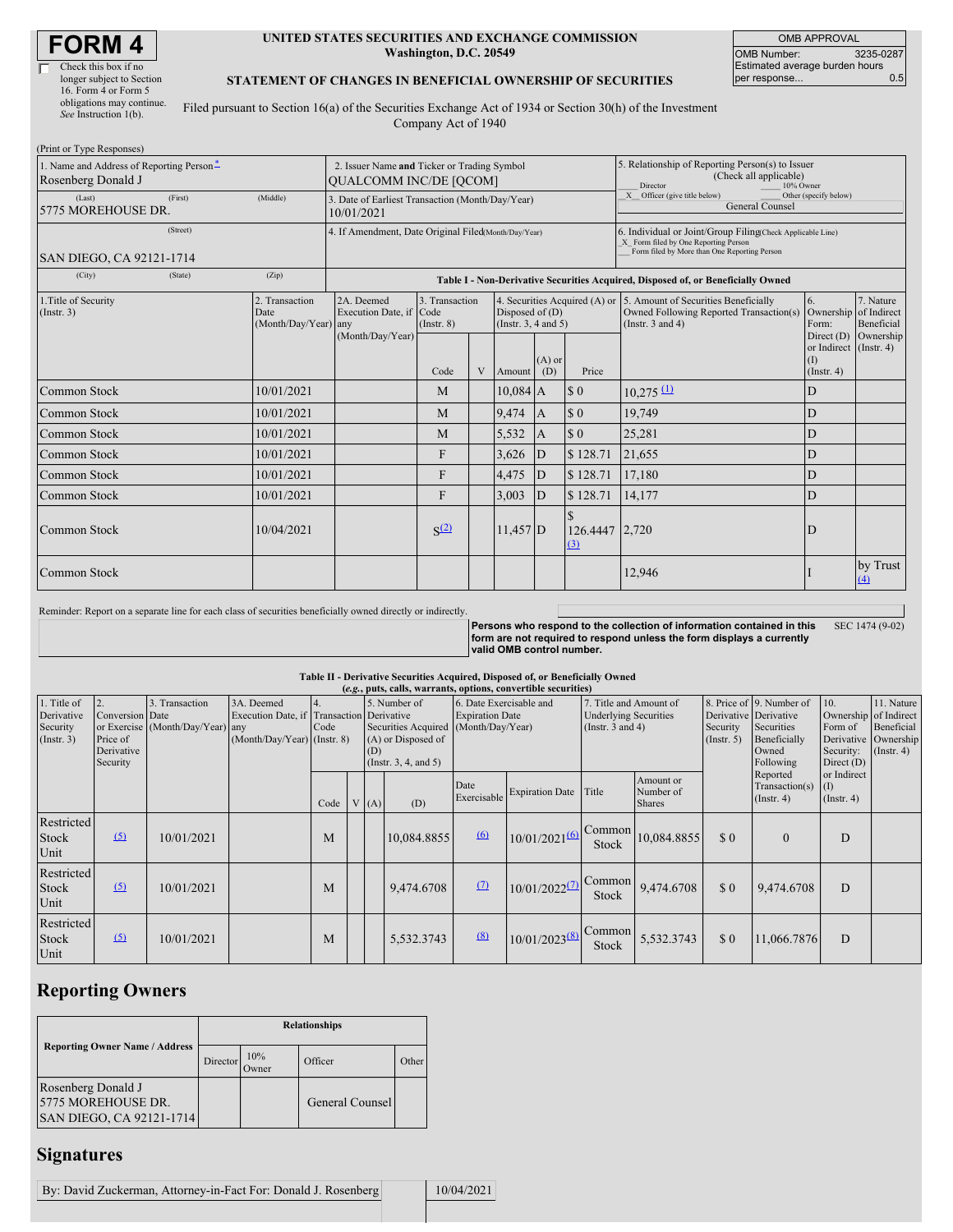$\overline{\Gamma}$ 

| Check this box if no      |
|---------------------------|
| longer subject to Section |
| 16. Form 4 or Form 5      |
| obligations may continue. |
| See Instruction 1(b).     |

#### **UNITED STATES SECURITIES AND EXCHANGE COMMISSION Washington, D.C. 20549**

OMB APPROVAL OMB Number: 3235-0287 Estimated average burden hours<br>per response... 0.5 per response...

### **STATEMENT OF CHANGES IN BENEFICIAL OWNERSHIP OF SECURITIES**

Filed pursuant to Section 16(a) of the Securities Exchange Act of 1934 or Section 30(h) of the Investment Company Act of 1940

| (Print or Type Responses)                                      |                                                      |                                                                                  |                                                                              |                                    |   |                                           |                                                                                                                                                    |                             |                                                                                                                                        |                                                                      |                                |  |
|----------------------------------------------------------------|------------------------------------------------------|----------------------------------------------------------------------------------|------------------------------------------------------------------------------|------------------------------------|---|-------------------------------------------|----------------------------------------------------------------------------------------------------------------------------------------------------|-----------------------------|----------------------------------------------------------------------------------------------------------------------------------------|----------------------------------------------------------------------|--------------------------------|--|
| 1. Name and Address of Reporting Person-<br>Rosenberg Donald J |                                                      |                                                                                  | 2. Issuer Name and Ticker or Trading Symbol<br><b>QUALCOMM INC/DE [QCOM]</b> |                                    |   |                                           |                                                                                                                                                    |                             | 5. Relationship of Reporting Person(s) to Issuer<br>(Check all applicable)<br>Director<br>10% Owner                                    |                                                                      |                                |  |
| (First)<br>(Middle)<br>(Last)<br>5775 MOREHOUSE DR.            |                                                      |                                                                                  | 3. Date of Earliest Transaction (Month/Day/Year)<br>10/01/2021               |                                    |   |                                           |                                                                                                                                                    |                             | $\overline{X}$ Officer (give title below)<br>Other (specify below)<br>General Counsel                                                  |                                                                      |                                |  |
| <b>SAN DIEGO, CA 92121-1714</b>                                | 4. If Amendment, Date Original Filed(Month/Day/Year) |                                                                                  |                                                                              |                                    |   |                                           | 6. Individual or Joint/Group Filing(Check Applicable Line)<br>X Form filed by One Reporting Person<br>Form filed by More than One Reporting Person |                             |                                                                                                                                        |                                                                      |                                |  |
| (City)                                                         | (Zip)                                                | Table I - Non-Derivative Securities Acquired, Disposed of, or Beneficially Owned |                                                                              |                                    |   |                                           |                                                                                                                                                    |                             |                                                                                                                                        |                                                                      |                                |  |
| 1. Title of Security<br>$($ Instr. 3 $)$                       |                                                      | 2. Transaction<br>Date<br>(Month/Day/Year) any                                   | 2A. Deemed<br>Execution Date, if Code<br>(Month/Day/Year)                    | 3. Transaction<br>$($ Instr $, 8)$ |   | Disposed of $(D)$<br>(Insert. 3, 4 and 5) |                                                                                                                                                    |                             | 4. Securities Acquired (A) or 5. Amount of Securities Beneficially<br>Owned Following Reported Transaction(s)<br>(Instr. $3$ and $4$ ) | 6.<br>Ownership of Indirect<br>Form:                                 | 7. Nature<br><b>Beneficial</b> |  |
|                                                                |                                                      |                                                                                  |                                                                              | Code                               | V | Amount                                    | $(A)$ or<br>(D)                                                                                                                                    | Price                       |                                                                                                                                        | Direct $(D)$<br>or Indirect (Instr. 4)<br>$($ I)<br>$($ Instr. 4 $)$ | Ownership                      |  |
| <b>Common Stock</b>                                            |                                                      | 10/01/2021                                                                       |                                                                              | M                                  |   | $10,084$ A                                |                                                                                                                                                    | $\sqrt{3}0$                 | $10,275 \text{ }^{\text{1}}\text{)}$                                                                                                   | D                                                                    |                                |  |
| Common Stock                                                   |                                                      | 10/01/2021                                                                       |                                                                              | M                                  |   | 9,474                                     | $\overline{A}$                                                                                                                                     | $\boldsymbol{\mathsf{S}}$ 0 | 19,749                                                                                                                                 | D                                                                    |                                |  |
| Common Stock                                                   |                                                      | 10/01/2021                                                                       |                                                                              | M                                  |   | 5,532                                     | A                                                                                                                                                  | $\sqrt{3}0$                 | 25,281                                                                                                                                 | D                                                                    |                                |  |
| <b>Common Stock</b>                                            |                                                      | 10/01/2021                                                                       |                                                                              | F                                  |   | 3,626                                     | D                                                                                                                                                  | \$128.71                    | 21,655                                                                                                                                 | D                                                                    |                                |  |
| Common Stock                                                   |                                                      | 10/01/2021                                                                       |                                                                              | F                                  |   | 4,475                                     | ID                                                                                                                                                 | \$128.71                    | 17,180                                                                                                                                 | D                                                                    |                                |  |
| Common Stock                                                   |                                                      | 10/01/2021                                                                       |                                                                              | F                                  |   | 3,003                                     | D                                                                                                                                                  | \$128.71                    | 14.177                                                                                                                                 | D                                                                    |                                |  |
| <b>Common Stock</b>                                            |                                                      | 10/04/2021                                                                       |                                                                              | S <sup>(2)</sup>                   |   | $11,457$ D                                |                                                                                                                                                    | 126.4447 2,720<br>(3)       |                                                                                                                                        | D                                                                    |                                |  |
| Common Stock                                                   |                                                      |                                                                                  |                                                                              |                                    |   |                                           |                                                                                                                                                    |                             | 12,946                                                                                                                                 |                                                                      | by Trust<br>(4)                |  |

Reminder: Report on a separate line for each class of securities beneficially owned directly or indirectly.

Persons who respond to the collection of information contained in this<br>form are not required to respond unless the form displays a currently<br>valid OMB control number. SEC 1474 (9-02)

### **Table II - Derivative Securities Acquired, Disposed of, or Beneficially Owned**

|                                                           | (e.g., puts, calls, warrants, options, convertible securities) |                                                    |                                                                                                                                                                                                             |      |  |                                                   |             |                                                                                 |                             |                              |                                                                                                       |                                                                                              |                                                |                                        |  |
|-----------------------------------------------------------|----------------------------------------------------------------|----------------------------------------------------|-------------------------------------------------------------------------------------------------------------------------------------------------------------------------------------------------------------|------|--|---------------------------------------------------|-------------|---------------------------------------------------------------------------------|-----------------------------|------------------------------|-------------------------------------------------------------------------------------------------------|----------------------------------------------------------------------------------------------|------------------------------------------------|----------------------------------------|--|
| 1. Title of<br>Derivative<br>Security<br>$($ Instr. 3 $)$ | Conversion Date<br>Price of<br>Derivative<br>Security          | 3. Transaction<br>or Exercise (Month/Day/Year) any | 3A. Deemed<br>5. Number of<br>Execution Date, if Transaction Derivative<br>Securities Acquired (Month/Day/Year)<br>Code<br>(Month/Day/Year) (Instr. 8)<br>(A) or Disposed of<br>(D)<br>(Instr. 3, 4, and 5) |      |  | 6. Date Exercisable and<br><b>Expiration Date</b> |             | 7. Title and Amount of<br><b>Underlying Securities</b><br>(Instr. $3$ and $4$ ) |                             | Security<br>$($ Instr. 5 $)$ | 8. Price of 9. Number of<br>Derivative Derivative<br>Securities<br>Beneficially<br>Owned<br>Following | 10.<br>Ownership of Indirect<br>Form of<br>Derivative Ownership<br>Security:<br>Direct $(D)$ | 11. Nature<br>Beneficial<br>$($ Instr. 4 $)$   |                                        |  |
|                                                           |                                                                |                                                    |                                                                                                                                                                                                             | Code |  | V(A)                                              | (D)         | Date<br>Exercisable                                                             | <b>Expiration Date</b>      | Title                        | Amount or<br>Number of<br><b>Shares</b>                                                               |                                                                                              | Reported<br>Transaction(s)<br>$($ Instr. 4 $)$ | or Indirect<br>(I)<br>$($ Instr. 4 $)$ |  |
| Restricted<br>Stock<br>Unit                               | $\Omega$                                                       | 10/01/2021                                         |                                                                                                                                                                                                             | M    |  |                                                   | 10,084.8855 | 6                                                                               | $10/01/20216$ Common        | <b>Stock</b>                 | 10,084.8855                                                                                           | \$0                                                                                          | $\Omega$                                       | D                                      |  |
| Restricted<br><b>Stock</b><br>Unit                        | (5)                                                            | 10/01/2021                                         |                                                                                                                                                                                                             | M    |  |                                                   | 9,474.6708  | (7)                                                                             | $10/01/2022$ <sup>(7)</sup> | Common<br>Stock              | 9,474.6708                                                                                            | \$0                                                                                          | 9,474.6708                                     | D                                      |  |
| Restricted<br><b>Stock</b><br>Unit                        | $\Omega$                                                       | 10/01/2021                                         |                                                                                                                                                                                                             | M    |  |                                                   | 5,532.3743  | (8)                                                                             | $10/01/2023^{(8)}$          | Common<br>Stock              | 5,532.3743                                                                                            | \$0                                                                                          | 11,066.7876                                    | D                                      |  |

# **Reporting Owners**

|                                                                      | <b>Relationships</b> |              |                 |       |  |  |  |  |
|----------------------------------------------------------------------|----------------------|--------------|-----------------|-------|--|--|--|--|
| <b>Reporting Owner Name / Address</b>                                | Director             | 10%<br>)wner | Officer         | Other |  |  |  |  |
| Rosenberg Donald J<br>5775 MOREHOUSE DR.<br>SAN DIEGO, CA 92121-1714 |                      |              | General Counsel |       |  |  |  |  |

## **Signatures**

By: David Zuckerman, Attorney-in-Fact For: Donald J. Rosenberg 10/04/2021